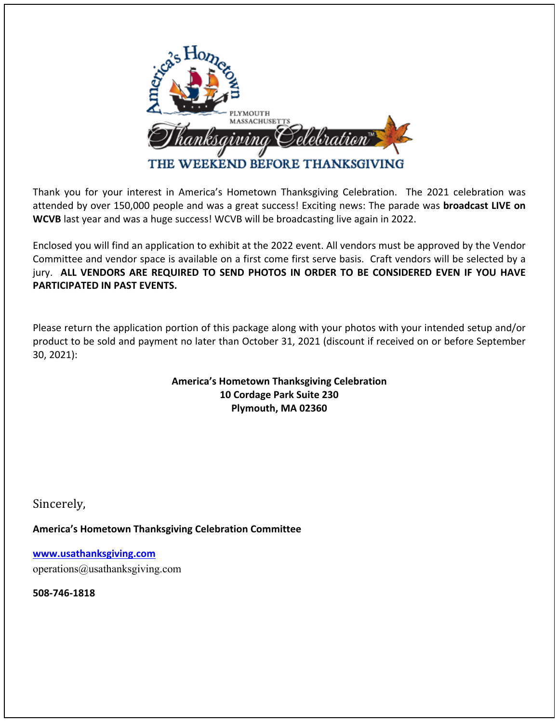

Thank you for your interest in America's Hometown Thanksgiving Celebration. The 2021 celebration was attended by over 150,000 people and was a great success! Exciting news: The parade was **broadcast LIVE on WCVB** last year and was a huge success! WCVB will be broadcasting live again in 2022.

Enclosed you will find an application to exhibit at the 2022 event. All vendors must be approved by the Vendor Committee and vendor space is available on a first come first serve basis. Craft vendors will be selected by a jury. **ALL VENDORS ARE REQUIRED TO SEND PHOTOS IN ORDER TO BE CONSIDERED EVEN IF YOU HAVE PARTICIPATED IN PAST EVENTS.** 

Please return the application portion of this package along with your photos with your intended setup and/or product to be sold and payment no later than October 31, 2021 (discount if received on or before September 30, 2021):

## **America's Hometown Thanksgiving Celebration 10 Cordage Park Suite 230 Plymouth, MA 02360**

Sincerely, 

**America's Hometown Thanksgiving Celebration Committee** 

**www.usathanksgiving.com** operations@usathanksgiving.com

**508-746-1818**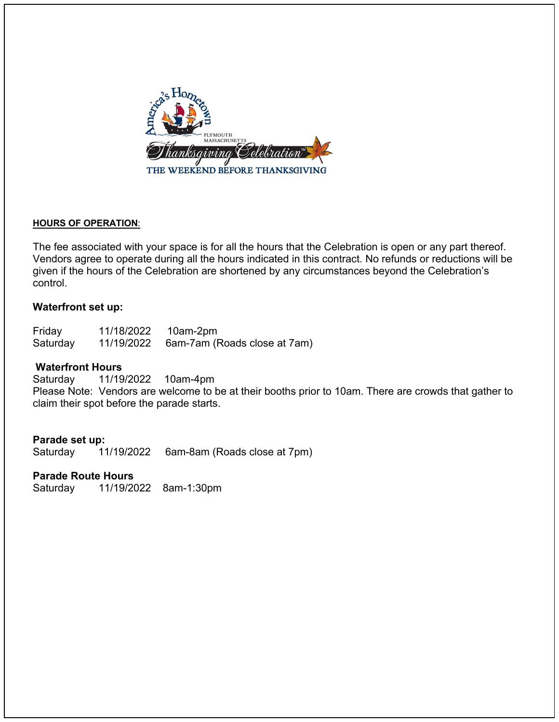

#### **HOURS OF OPERATION**:

The fee associated with your space is for all the hours that the Celebration is open or any part thereof. Vendors agree to operate during all the hours indicated in this contract. No refunds or reductions will be given if the hours of the Celebration are shortened by any circumstances beyond the Celebration's control.

#### **Waterfront set up:**

| Friday   | 11/18/2022 | 10am-2pm                     |
|----------|------------|------------------------------|
| Saturday | 11/19/2022 | 6am-7am (Roads close at 7am) |

## **Waterfront Hours**

Saturday 11/19/2022 10am-4pm Please Note: Vendors are welcome to be at their booths prior to 10am. There are crowds that gather to claim their spot before the parade starts.

#### **Parade set up:**

Saturday 11/19/2022 6am-8am (Roads close at 7pm)

#### **Parade Route Hours**

Saturday 11/19/2022 8am-1:30pm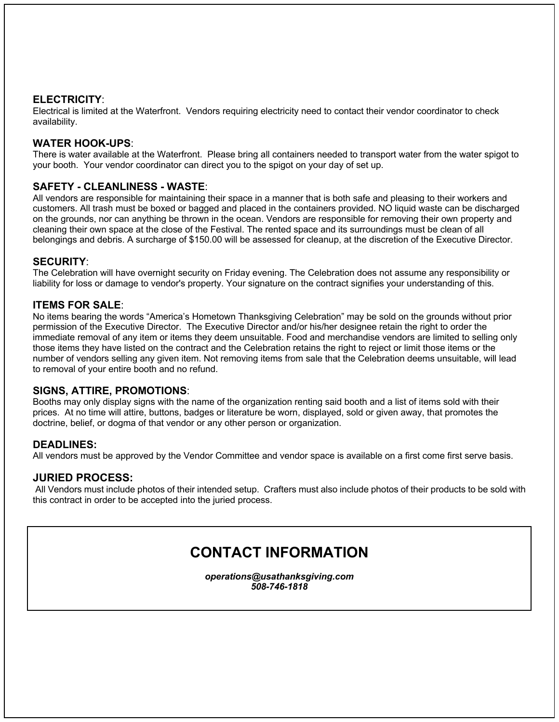#### **ELECTRICITY**:

Electrical is limited at the Waterfront. Vendors requiring electricity need to contact their vendor coordinator to check availability.

### **WATER HOOK-UPS**:

There is water available at the Waterfront. Please bring all containers needed to transport water from the water spigot to your booth. Your vendor coordinator can direct you to the spigot on your day of set up.

#### **SAFETY - CLEANLINESS - WASTE**:

All vendors are responsible for maintaining their space in a manner that is both safe and pleasing to their workers and customers. All trash must be boxed or bagged and placed in the containers provided. NO liquid waste can be discharged on the grounds, nor can anything be thrown in the ocean. Vendors are responsible for removing their own property and cleaning their own space at the close of the Festival. The rented space and its surroundings must be clean of all belongings and debris. A surcharge of \$150.00 will be assessed for cleanup, at the discretion of the Executive Director.

#### **SECURITY**:

The Celebration will have overnight security on Friday evening. The Celebration does not assume any responsibility or liability for loss or damage to vendor's property. Your signature on the contract signifies your understanding of this.

#### **ITEMS FOR SALE**:

No items bearing the words "America's Hometown Thanksgiving Celebration" may be sold on the grounds without prior permission of the Executive Director. The Executive Director and/or his/her designee retain the right to order the immediate removal of any item or items they deem unsuitable. Food and merchandise vendors are limited to selling only those items they have listed on the contract and the Celebration retains the right to reject or limit those items or the number of vendors selling any given item. Not removing items from sale that the Celebration deems unsuitable, will lead to removal of your entire booth and no refund.

#### **SIGNS, ATTIRE, PROMOTIONS**:

Booths may only display signs with the name of the organization renting said booth and a list of items sold with their prices. At no time will attire, buttons, badges or literature be worn, displayed, sold or given away, that promotes the doctrine, belief, or dogma of that vendor or any other person or organization.

#### **DEADLINES:**

All vendors must be approved by the Vendor Committee and vendor space is available on a first come first serve basis.

#### **JURIED PROCESS:**

All Vendors must include photos of their intended setup. Crafters must also include photos of their products to be sold with this contract in order to be accepted into the juried process.

# **CONTACT INFORMATION**

*operations@usathanksgiving.com 508-746-1818*